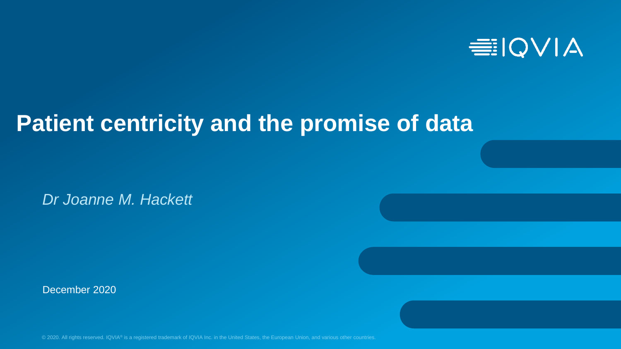

# **Patient centricity and the promise of data**

*Dr Joanne M. Hackett*

December 2020

© 2020. All rights reserved. IQVIA® is a registered trademark of IQVIA Inc. in the United States, the European Union, and various other countries.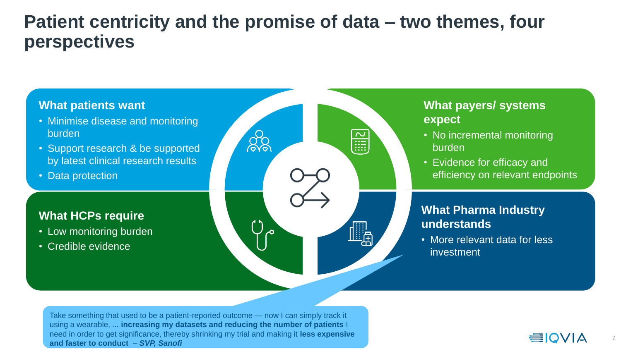### **Patient centricity and the promise of data – two themes, four perspectives**



- Minimise disease and monitoring burden
- Support research & be supported by latest clinical research results
- Data protection

#### **What HCPs require**

- Low monitoring burden
- Credible evidence



#### **What payers/ systems expect**

- No incremental monitoring burden
- Evidence for efficacy and efficiency on relevant endpoints

#### **What Pharma Industry understands**

• More relevant data for less investment

Take something that used to be a patient-reported outcome — now I can simply track it using a wearable, ... **increasing my datasets and reducing the number of patients** I need in order to get significance, thereby shrinking my trial and making it **less expensive and faster to conduct** *– SVP, Sanofi*

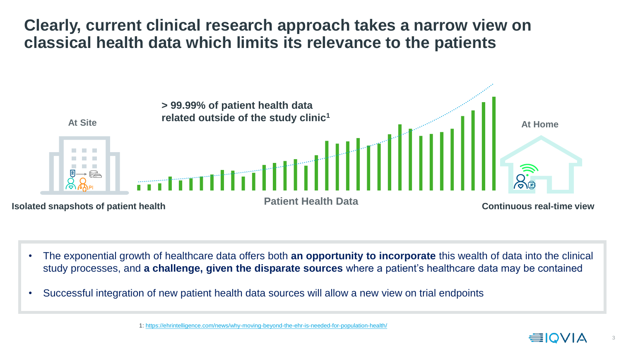#### **Clearly, current clinical research approach takes a narrow view on classical health data which limits its relevance to the patients**



- The exponential growth of healthcare data offers both **an opportunity to incorporate** this wealth of data into the clinical study processes, and **a challenge, given the disparate sources** where a patient's healthcare data may be contained
- Successful integration of new patient health data sources will allow a new view on trial endpoints

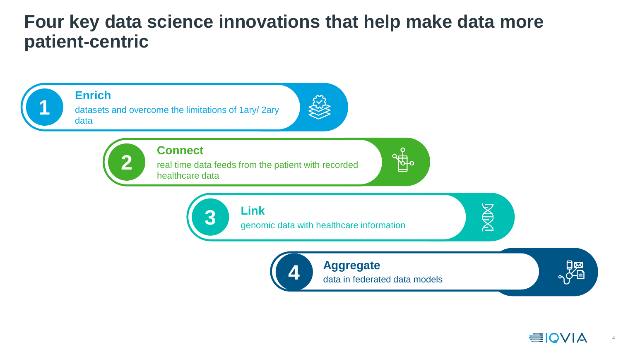### **Four key data science innovations that help make data more patient-centric**





4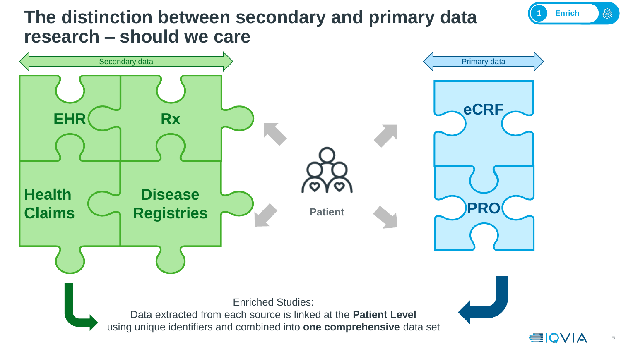## **The distinction between secondary and primary data research – should we care**



**1 Enrich**

▒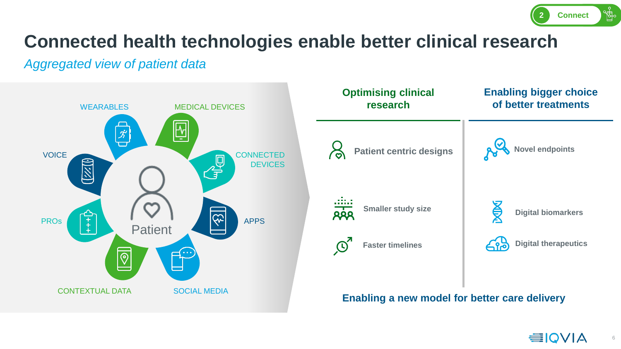

# **Connected health technologies enable better clinical research**

#### *Aggregated view of patient data*





**Enabling a new model for better care delivery** 

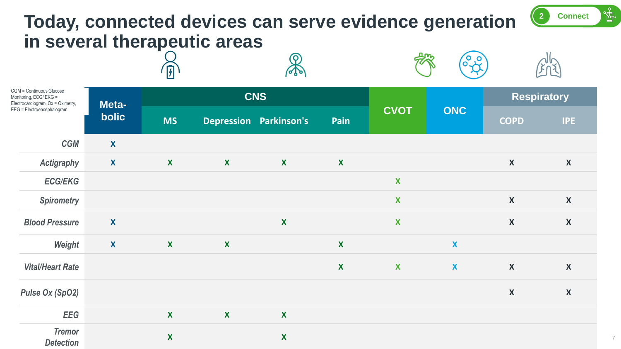#### **Today, connected devices can serve evidence generation in several therapeutic areas**  ${\mathcal{R}}$ 秋  $\left(\begin{matrix} 0 & 0 \\ 0 & \lambda \end{matrix}\right)$

| CGM = Continuous Glucose<br>Monitoring, ECG/ EKG =<br>Electrocardiogram, Ox = Oximetry,<br>EEG = Electroencephalogram |                  | $\frac{1}{2}$    |              | $\sqrt{2}$             |                  | $\mathcal{H}_{\mathcal{L}}$<br><b>LULY</b> |                  |                    |                  |
|-----------------------------------------------------------------------------------------------------------------------|------------------|------------------|--------------|------------------------|------------------|--------------------------------------------|------------------|--------------------|------------------|
|                                                                                                                       | Meta-<br>bolic   | <b>CNS</b>       |              |                        |                  |                                            |                  | <b>Respiratory</b> |                  |
|                                                                                                                       |                  | <b>MS</b>        |              | Depression Parkinson's | Pain             | <b>CVOT</b>                                | <b>ONC</b>       | <b>COPD</b>        | <b>IPE</b>       |
| <b>CGM</b>                                                                                                            | $\boldsymbol{X}$ |                  |              |                        |                  |                                            |                  |                    |                  |
| <b>Actigraphy</b>                                                                                                     | X                | $\mathbf{X}$     | $\mathbf{X}$ | $\boldsymbol{X}$       | $\boldsymbol{X}$ |                                            |                  | $\boldsymbol{X}$   | $\boldsymbol{X}$ |
| <b>ECG/EKG</b>                                                                                                        |                  |                  |              |                        |                  | X                                          |                  |                    |                  |
| <b>Spirometry</b>                                                                                                     |                  |                  |              |                        |                  | X                                          |                  | $\boldsymbol{X}$   | $\boldsymbol{X}$ |
| <b>Blood Pressure</b>                                                                                                 | X                |                  |              | $\boldsymbol{X}$       |                  | X                                          |                  | $\boldsymbol{X}$   | $\boldsymbol{X}$ |
| Weight                                                                                                                | $\mathbf{X}$     | $\mathbf{X}$     | $\mathbf{X}$ |                        | $\boldsymbol{X}$ |                                            | X                |                    |                  |
| <b>Vital/Heart Rate</b>                                                                                               |                  |                  |              |                        | $\boldsymbol{X}$ | $\mathbf{X}$                               | $\boldsymbol{X}$ | $\boldsymbol{X}$   | $\boldsymbol{X}$ |
| <b>Pulse Ox (SpO2)</b>                                                                                                |                  |                  |              |                        |                  |                                            |                  | $\boldsymbol{X}$   | $\boldsymbol{X}$ |
| <b>EEG</b>                                                                                                            |                  | $\mathbf{X}$     | $\mathbf x$  | $\boldsymbol{X}$       |                  |                                            |                  |                    |                  |
| <b>Tremor</b><br><b>Detection</b>                                                                                     |                  | $\boldsymbol{X}$ |              | X                      |                  |                                            |                  |                    |                  |

7

**2 Connect**

**SiC** 

 $\frac{d}{d}$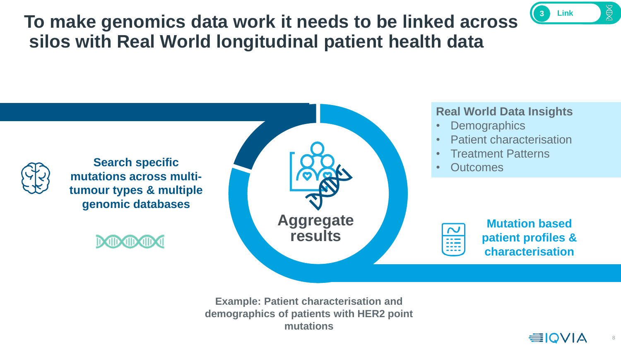# **To make genomics data work it needs to be linked across silos with Real World longitudinal patient health data**



#### **Real World Data Insights**

- Demographics
- Patient characterisation
- Treatment Patterns
- Outcomes



**Mutation based patient profiles & characterisation**

**Example: Patient characterisation and demographics of patients with HER2 point mutations**



**3 Link**

 $\boxtimes$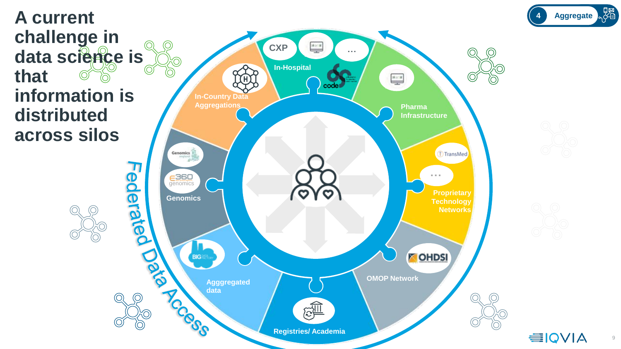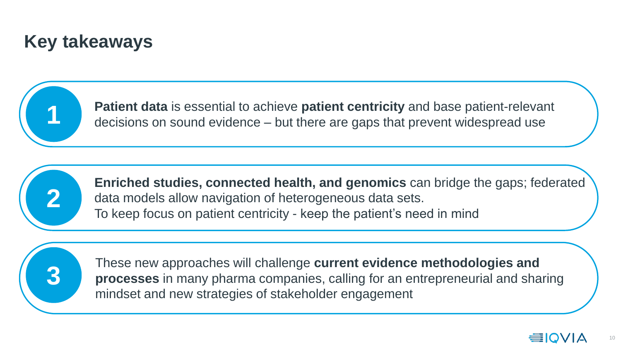# **Key takeaways**



**Patient data** is essential to achieve **patient centricity** and base patient-relevant decisions on sound evidence – but there are gaps that prevent widespread use



**Enriched studies, connected health, and genomics** can bridge the gaps; federated data models allow navigation of heterogeneous data sets. To keep focus on patient centricity - keep the patient's need in mind



These new approaches will challenge **current evidence methodologies and processes** in many pharma companies, calling for an entrepreneurial and sharing mindset and new strategies of stakeholder engagement